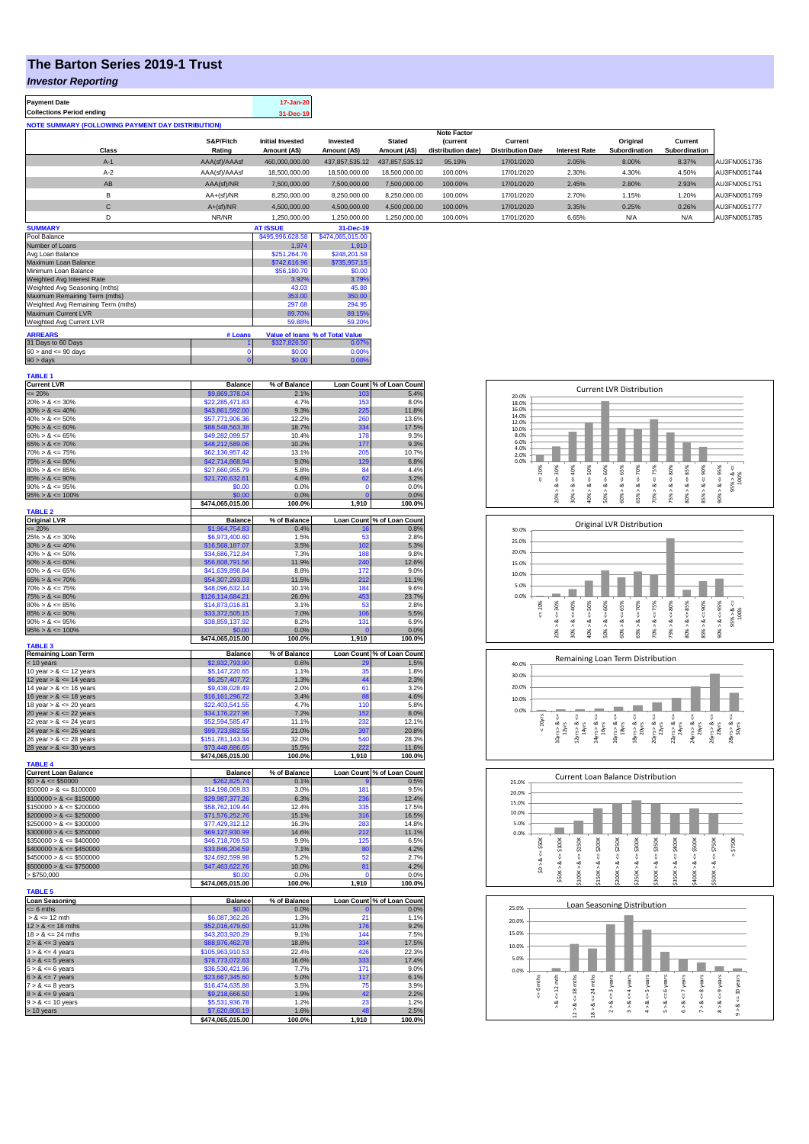## **The Barton Series 2019-1 Trust**

## *Investor Reporting*

| <b>Payment Date</b><br><b>Collections Period ending</b>  |                     | 17-Jan-20<br>31-Dec-19                  |                          |                               |                                                      |                                     |                      |                           |                          |              |
|----------------------------------------------------------|---------------------|-----------------------------------------|--------------------------|-------------------------------|------------------------------------------------------|-------------------------------------|----------------------|---------------------------|--------------------------|--------------|
| <b>NOTE SUMMARY (FOLLOWING PAYMENT DAY DISTRIBUTION)</b> |                     |                                         |                          |                               |                                                      |                                     |                      |                           |                          |              |
| Class                                                    | S&P/Fitch<br>Rating | <b>Initial Invested</b><br>Amount (A\$) | Invested<br>Amount (A\$) | <b>Stated</b><br>Amount (A\$) | <b>Note Factor</b><br>(current<br>distribution date) | Current<br><b>Distribution Date</b> | <b>Interest Rate</b> | Original<br>Subordination | Current<br>Subordination |              |
| $A-1$                                                    | AAA(sf)/AAAsf       | 460.000.000.00                          | 437.857.535.12           | 437.857.535.12                | 95.19%                                               | 17/01/2020                          | 2.05%                | 8.00%                     | 8.37%                    | AU3FN0051736 |
| $A-2$                                                    | AAA(sf)/AAAsf       | 18,500,000,00                           | 18,500,000,00            | 18,500,000,00                 | 100.00%                                              | 17/01/2020                          | 2.30%                | 4.30%                     | 4.50%                    | AU3FN0051744 |
| AB                                                       | AAA(sf)/NR          | 7.500.000.00                            | 7.500.000.00             | 7.500.000.00                  | 100.00%                                              | 17/01/2020                          | 2.45%                | 2.80%                     | 2.93%                    | AU3FN0051751 |
| в                                                        | $AA+(sf)/NR$        | 8.250.000.00                            | 8,250,000.00             | 8.250.000.00                  | 100.00%                                              | 17/01/2020                          | 2.70%                | 1.15%                     | 1.20%                    | AU3FN0051769 |
| с                                                        | $A+(sf)/NR$         | 4.500.000.00                            | 4,500,000.00             | 4.500.000.00                  | 100.00%                                              | 17/01/2020                          | 3.35%                | 0.25%                     | 0.26%                    | AU3FN0051777 |
| D                                                        | NR/NR               | 1.250.000.00                            | 1.250.000.00             | 1.250.000.00                  | 100.00%                                              | 17/01/2020                          | 6.65%                | N/A                       | N/A                      | AU3FN0051785 |
| A                                                        |                     | 17.000117                               | $\sim$ $\sim$ $\sim$     |                               |                                                      |                                     |                      |                           |                          |              |

| <b>SUMMARY</b>                     |                  | <b>AT ISSUE</b>  | 31-Dec-19                       |
|------------------------------------|------------------|------------------|---------------------------------|
| Pool Balance                       | \$495,996,628.58 | \$474,065,015.00 |                                 |
| Number of Loans                    |                  | 1.974            | 1.910                           |
| Avg Loan Balance                   |                  | \$251.264.76     | \$248.201.58                    |
| Maximum Loan Balance               | \$742,616.96     | \$735,957.15     |                                 |
| Minimum Loan Balance               | \$56,180.70      | \$0.00           |                                 |
| Weighted Avg Interest Rate         | 3.92%            | 3.79%            |                                 |
| Weighted Avg Seasoning (mths)      | 43.03            | 45.88            |                                 |
| Maximum Remaining Term (mths)      | 353.00           | 350.00           |                                 |
| Weighted Avg Remaining Term (mths) | 297.68           | 294.95           |                                 |
| Maximum Current LVR                |                  | 89.70%           | 89.15%                          |
| Weighted Avg Current LVR           |                  | 59.88%           | 59.20%                          |
| <b>ARREARS</b>                     | # Loans          |                  | Value of Ioans % of Total Value |
| 31 Days to 60 Days                 |                  | \$327,826.50     | 0.07%                           |
| $60 >$ and $\leq 90$ days          |                  | \$0.00           | 0.00%                           |
| $90 >$ days                        | 0                | \$0.00           | 0.00%                           |

| <b>TABLE 1</b>              |                  |              |                   |                            |
|-----------------------------|------------------|--------------|-------------------|----------------------------|
| <b>Current LVR</b>          | <b>Balance</b>   | % of Balance |                   | Loan Count % of Loan Count |
| $= 20%$                     | \$9,869,378.04   | 2.1%         | 103               | 5.4%                       |
| $20\% > 8 \le 30\%$         | \$22,285,471.83  | 4.7%         | 153               | 8.0%                       |
|                             |                  |              |                   |                            |
| $30\% > 8 \le 40\%$         | \$43,861,592.00  | 9.3%         | 225               | 11.8%                      |
| $40\% > 8 \le 50\%$         | \$57,771,906.36  | 12.2%        | 260               | 13.6%                      |
| $50\% > 8 \le 60\%$         | \$88,548,563.38  | 18.7%        | 334               | 17.5%                      |
| $60\% > 8 \le 65\%$         | \$49,282,099.57  | 10.4%        | 178               | 9.3%                       |
| $65\% > 8 \le 70\%$         | \$48,212,589.06  | 10.2%        |                   | 9.3%                       |
|                             |                  |              | 177               |                            |
| $70\% > 8 \le 75\%$         | \$62,136,957.42  | 13.1%        | 205               | 10.7%                      |
| $75\% > 8 \le 80\%$         | \$42,714,868.94  | 9.0%         | 129               | 6.8%                       |
| $80\% > 8 \le 85\%$         | \$27,660,955.79  | 5.8%         | 84                | 4.4%                       |
| $85\% > 8 \le 90\%$         | \$21,720,632.61  | 4.6%         | 62                | 3.2%                       |
| $90\% > 8 \le 95\%$         | \$0.00           | 0.0%         | $\Omega$          | 0.0%                       |
|                             |                  |              |                   |                            |
| $95\% > 8 \le 100\%$        | \$0.00           | 0.0%         | $\Omega$          | 0.0%                       |
|                             | \$474,065,015.00 | 100.0%       | 1,910             | 100.0%                     |
| <b>TABLE 2</b>              |                  |              |                   |                            |
| <b>Original LVR</b>         | <b>Balance</b>   | % of Balance | <b>Loan Count</b> | % of Loan Count            |
| $\leq$ 20%                  | \$1,964,754.83   | 0.4%         | 16                | 0.8%                       |
|                             |                  |              |                   |                            |
| $25\% > 8 \le 30\%$         | \$6,973,400.60   | 1.5%         | 53                | 2.8%                       |
| $30\% > 8 \le 40\%$         | \$16,568,187.07  | 3.5%         | 102               | 5.3%                       |
| $40\% > 8 \le 50\%$         | \$34,686,712.84  | 7.3%         | 188               | 9.8%                       |
| $50\% > 8 \le 60\%$         | \$56,608,791.56  | 11.9%        | 240               | 12.6%                      |
| $60\% > 8 \le 65\%$         | \$41,639,898.84  | 8.8%         | 172               | 9.0%                       |
|                             |                  |              |                   |                            |
| $65\% > 8 \le 70\%$         | \$54,307,293.03  | 11.5%        | 212               | 11.1%                      |
| $70\% > 8 \le 75\%$         | \$48,096,632.14  | 10.1%        | 184               | 9.6%                       |
| $75\% > 8 \le 80\%$         | \$126,114,684.21 | 26.6%        | 453               | 23.7%                      |
| $80\% > 8 \le 85\%$         | \$14,873,016.81  | 3.1%         | 53                | 2.8%                       |
|                             |                  |              |                   |                            |
| $85\% > 8 \le 90\%$         | \$33,372,505.15  | 7.0%         | 106               | 5.5%                       |
| $90\% > 8 \le 95\%$         | \$38,859,137.92  | 8.2%         | 131               | 6.9%                       |
| $95\% > 8 \le 100\%$        | \$0.00           | 0.0%         | $\mathbf{0}$      | 0.0%                       |
|                             | \$474,065,015.00 | 100.0%       | 1,910             | 100.0%                     |
| <b>TABLE 3</b>              |                  |              |                   |                            |
| <b>Remaining Loan Term</b>  | <b>Balance</b>   | % of Balance | <b>Loan Count</b> | % of Loan Count            |
|                             |                  | 0.6%         | 20                | 1.5%                       |
| $<$ 10 years                | \$2,932,793.90   |              |                   |                            |
| 10 year $> 8 \le 12$ years  | \$5,147,220.65   | 1.1%         | 35                | 1.8%                       |
| 12 year $> 8 \le 14$ years  | \$6,257,407.72   | 1.3%         | 44                | 2.3%                       |
| 14 year $> 8 \le 16$ years  | \$9,438,028.49   | 2.0%         | 61                | 3.2%                       |
| 16 year $> 8 \le 18$ years  | \$16,161,296.72  | 3.4%         | 88                | 4.6%                       |
|                             |                  |              |                   |                            |
| 18 year $> 8 \le 20$ years  | \$22,403,541.55  | 4.7%         | 110               | 5.8%                       |
| 20 year $> 8 \le 22$ years  | \$34,176,227.96  | 7.2%         | 152               | 8.0%                       |
| 22 year $> 8 \le 24$ years  | \$52,594,585.47  | 11.1%        | 232               | 12.1%                      |
| 24 year $> 8 \le 26$ years  | \$99,723,882.55  | 21.0%        | 397               | 20.8%                      |
|                             |                  | 32.0%        | 540               | 28.3%                      |
| 26 year $> 8 \le 28$ years  | \$151,781,143.34 |              |                   |                            |
| 28 year $> 8 \le 30$ years  | \$73,448,886.65  | 15.5%        | 222               | 11.6%                      |
|                             | \$474,065,015.00 | 100.0%       | 1,910             | 100.0%                     |
| <b>TABLE 4</b>              |                  |              |                   |                            |
| <b>Current Loan Balance</b> | <b>Balance</b>   | % of Balance |                   | Loan Count % of Loan Count |
|                             |                  | 0.1%         |                   | 0.5%                       |
| $$0 > 8 \le $50000$         | \$262,825.74     |              |                   |                            |
| $$50000 > 8 \le $100000$    | \$14,198,069.83  | 3.0%         | 181               | 9.5%                       |
| $$100000 > 8 \le $150000$   | \$29,987,377.26  | 6.3%         | 236               | 12.4%                      |
| $$150000 > 8 \le $200000$   | \$58,762,109.44  | 12.4%        | 335               | 17.5%                      |
| $$200000 > 8 \le $250000$   | \$71,576,252.76  | 15.1%        | 316               | 16.5%                      |
|                             |                  |              |                   | 14.8%                      |
| $$250000 > 8 \le $300000$   | \$77,429,312.12  | 16.3%        | 283               |                            |
| $$300000 > 8 \leq $350000$  | \$69,127,930.99  | 14.6%        | 212               | 11.1%                      |
| $$350000 > 8 \le $400000$   | \$46,718,709.53  | 9.9%         | 125               | 6.5%                       |
| $$400000 > 8 \le $450000$   | \$33,846,204.59  | 7.1%         | 80                | 4.2%                       |
| $$450000 > 8 \le $500000$   | \$24,692,599.98  | 5.2%         | 52                | 2.7%                       |
|                             |                  |              |                   |                            |
| $$500000 > 8 \le $750000$   | \$47,463,622.76  | 10.0%        | 81                | 4.2%                       |
| > \$750,000                 | \$0.00           | 0.0%         | C                 | 0.0%                       |
|                             | \$474,065,015.00 | 100.0%       | 1,910             | 100.0%                     |
| <b>TABLE 5</b>              |                  |              |                   |                            |
| <b>Loan Seasoning</b>       | <b>Balance</b>   |              |                   | % of Loan Count            |
|                             |                  | % of Balance | Loan Count        |                            |
| $= 6$ mths                  | \$0.00           | 0.0%         | O                 | 0.0%                       |
| $> 8 \le 12$ mth            | \$6,087,362.26   | 1.3%         | 21                | 1.1%                       |
| $12 > 8 \le 18$ mths        | \$52,016,479.60  | 11.0%        | 176               | 9.2%                       |
| $18 > 8 \le 24$ mths        | \$43,203,920.29  | 9.1%         | 144               | 7.5%                       |
| $2 > 8 \le 3$ years         | \$88,976,462.78  | 18.8%        | 334               | 17.5%                      |
|                             |                  |              |                   |                            |
| $3 > 8 \le 4$ years         | \$105,963,910.53 | 22.4%        | 426               | 22.3%                      |
| $4 > 8 \le 5$ years         | \$78,773,072.63  | 16.6%        | 333               | 17.4%                      |
| $5 > 8 \le 6$ years         | \$36,530,421.96  | 7.7%         | 171               | 9.0%                       |
| $6 > 8 \le 7$ years         | \$23,667,345.60  | 5.0%         | 117               | 6.1%                       |
| $7 > 8 \le 8$ years         | \$16,474,635.88  | 3.5%         | 75                | 3.9%                       |
|                             |                  |              |                   |                            |
| $8 > 8 \le 9$ years         | \$9,218,666.50   | 1.9%         | 42                | 2.2%                       |
| $9 > 8 \le 10$ years        | \$5.531.936.78   | 1.2%         | 23                | 1.2%                       |
| > 10 years                  | \$7,620,800.19   | 1.6%         | 48                | 2.5%                       |
|                             | \$474.065.015.00 | 100.0%       | 1.910             | 100.0%                     |
|                             |                  |              |                   |                            |

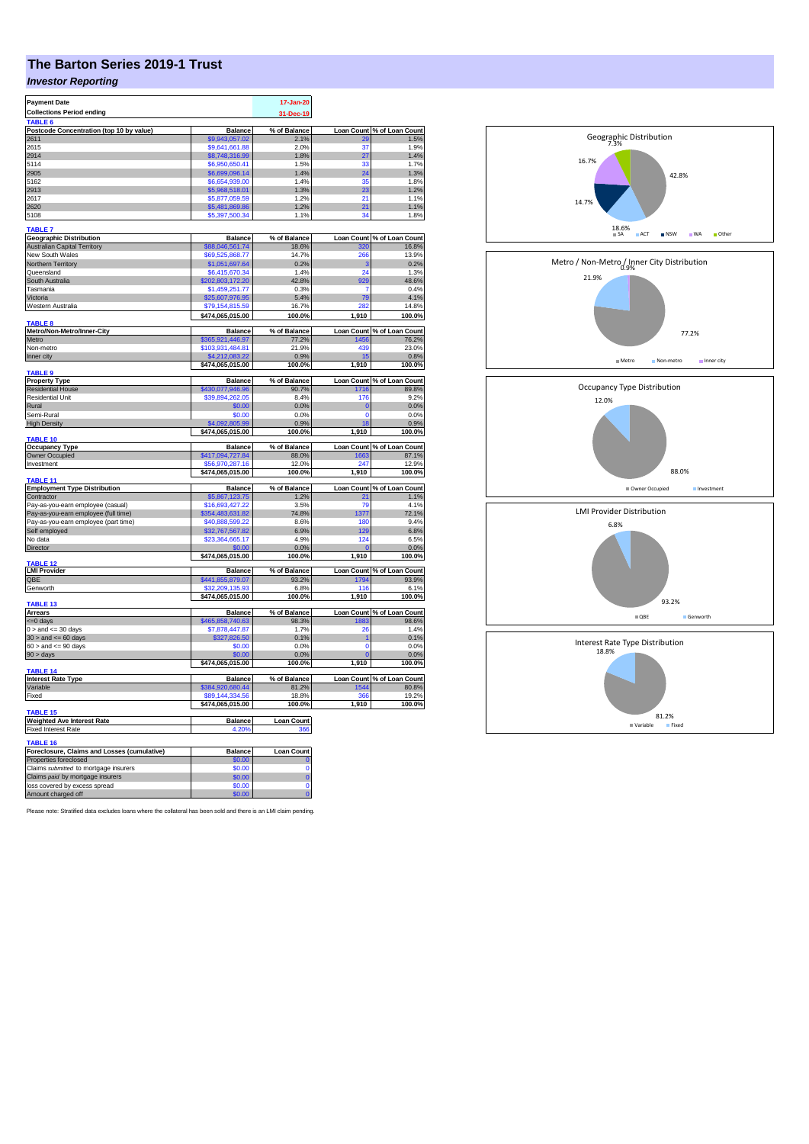## **The Barton Series 2019-1 Trust**

## *Investor Reporting*

| <b>Payment Date</b>                         |                  | 17-Jan-20         |                   |                            |
|---------------------------------------------|------------------|-------------------|-------------------|----------------------------|
| <b>Collections Period ending</b>            |                  | 31-Dec-19         |                   |                            |
| TABLE <sub>6</sub>                          |                  |                   |                   |                            |
| Postcode Concentration (top 10 by value)    | <b>Balance</b>   | % of Balance      | <b>Loan Count</b> | % of Loan Count            |
| 2611                                        | \$9,943,057.02   | 2.1%              | 29                | 1.5%                       |
| 2615                                        | \$9,641,661.88   | 2.0%              | 37                | 1.9%                       |
| 2914                                        | \$8,748,316.99   | 1.8%              | 27                | 1.4%                       |
| 5114                                        | \$6,950,650.41   | 1.5%              | 33                | 1.7%                       |
| 2905                                        | \$6,699,096.14   | 1.4%              | 24                | 1.3%                       |
| 5162                                        | \$6,654,939.00   | 1.4%              | 35                | 1.8%                       |
| 2913                                        |                  |                   | 23                | 1.2%                       |
| 2617                                        | \$5,968,518.01   | 1.3%<br>1.2%      | 21                | 1.1%                       |
| 2620                                        | \$5,877,059.59   | 1.2%              |                   |                            |
|                                             | \$5,481,869.86   |                   | 21<br>34          | 1.1%                       |
| 5108                                        | \$5,397,500.34   | 1.1%              |                   | 1.8%                       |
| <b>TABLE 7</b>                              |                  |                   |                   |                            |
| <b>Geographic Distribution</b>              | <b>Balance</b>   | % of Balance      |                   | Loan Count % of Loan Count |
| <b>Australian Capital Territory</b>         | \$88,046,561.74  | 18.6%             | 320               | 16.8%                      |
| New South Wales                             | \$69,525,868.77  | 14.7%             | 266               | 13.9%                      |
| Northern Territory                          | \$1,051,697.64   | 0.2%              | é                 | 0.2%                       |
| Queensland                                  | \$6,415,670.34   | 1.4%              | 24                | 1.3%                       |
| South Australia                             | \$202,803,172.20 | 42.8%             | 929               | 48.6%                      |
| Tasmania                                    | \$1,459,251.77   | 0.3%              | 7                 | 0.4%                       |
| Victoria                                    | 325,607,976.95   | 5.4%              | 79                | 4.1%                       |
|                                             |                  |                   | 28                |                            |
| Western Australia                           | \$79,154,815.59  | 16.7%             |                   | 14.8%                      |
|                                             | \$474,065,015.00 | 100.0%            | 1,910             | 100.0%                     |
| TABLE <sub>8</sub>                          |                  |                   |                   |                            |
| Metro/Non-Metro/Inner-City                  | <b>Balance</b>   | % of Balance      | <b>Loan Count</b> | % of Loan Count<br>76.2%   |
| Metro                                       | \$365,921,446.97 | 77.2%             | 1456              |                            |
| Non-metro                                   | \$103.931.484.81 | 21.9%             | 439               | 23.0%                      |
| Inner city                                  | \$4,212,083.22   | 0.9%              | 15                | 0.8%                       |
|                                             | \$474,065,015.00 | 100.0%            | 1,910             | 100.0%                     |
| TABLE <sub>9</sub>                          |                  |                   |                   |                            |
| <b>Property Type</b>                        | <b>Balance</b>   | % of Balance      |                   | Loan Count % of Loan Count |
| <b>Residential House</b>                    | \$430,077,946.96 | 90.7%             | 1716              | 89.8%                      |
| <b>Residential Unit</b>                     | \$39.894.262.05  | 8.4%              | 176               | 9.2%                       |
| Rural                                       | \$0.00           | 0.0%              | C                 | 0.0%                       |
| Semi-Rural                                  | \$0.00           | 0.0%              | $\Omega$          | 0.0%                       |
| <b>High Density</b>                         | \$4,092,805.99   | 0.9%              | 18                | 0.9%                       |
|                                             | \$474,065,015.00 | 100.0%            | 1,910             | 100.0%                     |
| TABLE 10                                    |                  |                   |                   |                            |
| <b>Occupancy Type</b>                       | <b>Balance</b>   | % of Balance      | <b>Loan Count</b> | % of Loan Count            |
| Owner Occupied                              | \$417,094,727.84 | 88.0%             | 1663              | 87.1%                      |
| Investment                                  | \$56,970,287.16  | 12.0%             | 247               | 12.9%                      |
|                                             | \$474,065,015.00 | 100.0%            | 1,910             | 100.0%                     |
| TABLE 11                                    |                  |                   |                   |                            |
| <b>Employment Type Distribution</b>         | <b>Balance</b>   | % of Balance      |                   | Loan Count % of Loan Count |
| Contractor                                  | \$5,867,123.75   | 1.2%              | 21                | 1.1%                       |
| Pay-as-you-earn employee (casual)           | \$16,693,427.22  | 3.5%              | 79                | 4.1%                       |
| Pay-as-you-earn employee (full time)        | \$354,483,631.82 | 74.8%             | 1377              | 72.1%                      |
| Pay-as-you-earn employee (part time)        | \$40,888,599.22  | 8.6%              | 180               | 9.4%                       |
| Self employed                               | \$32,767,567.82  | 6.9%              | 129               | 6.8%                       |
| No data                                     | \$23,364,665.17  | 4.9%              | 124               | 6.5%                       |
| Director                                    |                  | 0.0%              |                   | 0.0%                       |
|                                             | \$474,065,015.00 | 100.0%            | 1,910             | 100.0%                     |
| <b>ABLE 12</b>                              |                  |                   |                   |                            |
| <b>LMI Provider</b>                         | <b>Balance</b>   | % of Balance      |                   | Loan Count % of Loan Count |
| QBE                                         | \$441,855,879.07 | 93.2%             | 1794              | 93.9%                      |
| Genworth                                    | \$32,209,135.93  | 6.8%              | 116               | 6.1%                       |
|                                             | \$474,065,015.00 | 100.0%            | 1,910             | 100.0%                     |
| TABLE 13                                    |                  |                   |                   |                            |
| <b>Arrears</b>                              | <b>Balance</b>   | % of Balance      |                   | Loan Count % of Loan Count |
| <= 0 days                                   | \$465,858,740.63 | 98.3%             | 1883              | 98.6%                      |
| $0 >$ and $\leq$ 30 days                    | \$7,878,447.87   | 1.7%              | 26                | 1.4%                       |
| $30 >$ and $\leq 60$ days                   | 327,826.50       | 0.1%              | 1                 | 0.1%                       |
| $60 >$ and $<= 90$ days                     | \$0.00           | 0.0%              | $\Omega$          | 0.0%                       |
| $90 > \text{days}$                          | \$0.00           | 0.0%              |                   | 0.0%                       |
|                                             | \$474,065,015.00 | 100.0%            | 1,910             | 100.0%                     |
| TABLE 14                                    |                  |                   |                   |                            |
| <b>Interest Rate Type</b>                   | <b>Balance</b>   | % of Balance      |                   | Loan Count % of Loan Count |
| Variable                                    | \$384,920,680.44 | 81.2%             | 1544              | 80.8%                      |
| Fixed                                       | \$89,144,334.56  | 18.8%             | 366               | 19.2%                      |
|                                             | \$474,065,015.00 | 100.0%            | 1,910             | 100.0%                     |
| TABLE 15                                    |                  |                   |                   |                            |
| Weighted Ave Interest Rate                  | Balance          | <b>Loan Count</b> |                   |                            |
| <b>Fixed Interest Rate</b>                  | 4.20%            | 366               |                   |                            |
|                                             |                  |                   |                   |                            |
| TABLE 16                                    |                  |                   |                   |                            |
| Foreclosure, Claims and Losses (cumulative) | <b>Balance</b>   | <b>Loan Count</b> |                   |                            |
| Properties foreclosed                       | \$0.00           |                   |                   |                            |
| Claims submitted to mortgage insurers       | \$0.00           | 0                 |                   |                            |
| Claims paid by mortgage insurers            | \$0.00           | $\bf{0}$          |                   |                            |
| loss covered by excess spread               | \$0.00           | $\Omega$          |                   |                            |
|                                             |                  |                   |                   |                            |

Please note: Stratified data excludes loans where the collateral has been sold and there is an LMI claim pending.